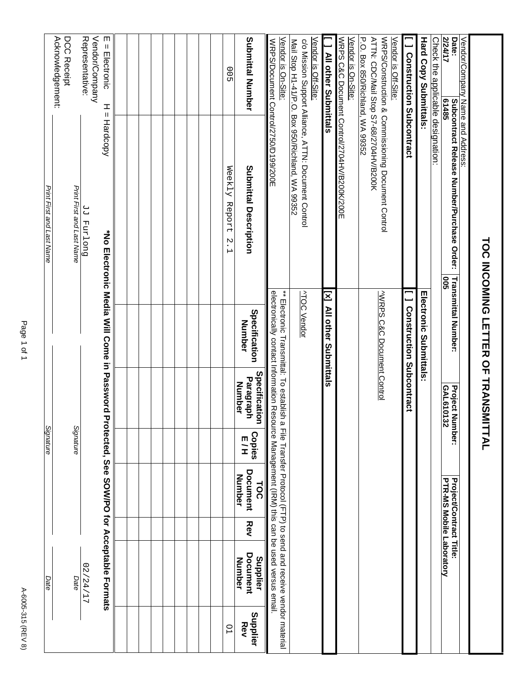| ٠ |
|---|
|   |
|   |
|   |
|   |
|   |
|   |
|   |
|   |
|   |
|   |
|   |
|   |
|   |
|   |
|   |
|   |
|   |
| ۰ |
|   |

|                                                                                                  |                                                                                                         | <b>TOC INCOMING LETTER OF TRANSM</b>                                                                                                                                                                                       |                                             | ITTAL                        |                                                                   |            |                                             |                 |
|--------------------------------------------------------------------------------------------------|---------------------------------------------------------------------------------------------------------|----------------------------------------------------------------------------------------------------------------------------------------------------------------------------------------------------------------------------|---------------------------------------------|------------------------------|-------------------------------------------------------------------|------------|---------------------------------------------|-----------------|
| <b>Z/24/17</b><br>Date:<br>Vendor/Company Name and Address:<br>61485                             | Subcontract Release Number/Purchase Order:<br><b>902</b>                                                | Transmittal Number:                                                                                                                                                                                                        | <b>Project Number:</b><br>GAL610132         |                              | <b>Project/Contract Title:</b><br><b>PTR-MS Mobile Laboratory</b> |            |                                             |                 |
| Check the applicable designation:                                                                |                                                                                                         |                                                                                                                                                                                                                            |                                             |                              |                                                                   |            |                                             |                 |
| <b>Hard Copy Submittals</b>                                                                      |                                                                                                         | <b>Information Submittals:</b>                                                                                                                                                                                             |                                             |                              |                                                                   |            |                                             |                 |
| [ ] Construction Subcontract                                                                     |                                                                                                         | <b>I</b> Construction Subcontract                                                                                                                                                                                          |                                             |                              |                                                                   |            |                                             |                 |
| P.O. Box 850/Richland, WA 99352<br>ATTN: CDC/Mail Stop S7-68/2704HV/B200K<br>Vendor is Off-Site: | WRPS/Construction & Commissioning Document Control                                                      | WRPS C&C Document Control                                                                                                                                                                                                  |                                             |                              |                                                                   |            |                                             |                 |
| Vendor is On-Site:                                                                               | WRPS C&C Document Control/2704HV/B200K/200E                                                             |                                                                                                                                                                                                                            |                                             |                              |                                                                   |            |                                             |                 |
| [ ] All other Submittals                                                                         |                                                                                                         | [x] All other Submittals                                                                                                                                                                                                   |                                             |                              |                                                                   |            |                                             |                 |
| Vendor is Off-Site:                                                                              |                                                                                                         |                                                                                                                                                                                                                            |                                             |                              |                                                                   |            |                                             |                 |
|                                                                                                  | Mail Stop H1-41/P.O. Box 950/Richland, WA 99352<br>c/o Mission Support Alliance, ATTN: Document Control | <b>ATOC Vendor</b>                                                                                                                                                                                                         |                                             |                              |                                                                   |            |                                             |                 |
| Vendor is On-Site:<br>WRPS/Document Control/2750/D199/200E                                       |                                                                                                         | electronically contact Information Resource Management (IRM) this can be used versus email.<br>$**$ Flectronic Transmittifical of the sequence of the Irle Trusner Protocol (CFT-D-D) to sep dead and receive xep down $*$ |                                             |                              |                                                                   |            |                                             |                 |
| Submittal Number                                                                                 | Submittal Description                                                                                   | Specification<br>Number                                                                                                                                                                                                    | Specification<br>Paragraph<br><b>Number</b> | <b>Copies</b><br>E<br>H<br>H | <b>Document</b><br>Number<br><b>TOC</b>                           | <b>Rev</b> | Document<br>Supplier<br>Number              | Supplier<br>Rev |
| 00 <sub>2</sub>                                                                                  | Weekly<br>Report<br>$\ddot{\phantom{0}}$<br>$\overline{\phantom{0}}$                                    |                                                                                                                                                                                                                            |                                             |                              |                                                                   |            |                                             | $\overline{a}$  |
|                                                                                                  |                                                                                                         |                                                                                                                                                                                                                            |                                             |                              |                                                                   |            |                                             |                 |
|                                                                                                  |                                                                                                         |                                                                                                                                                                                                                            |                                             |                              |                                                                   |            |                                             |                 |
|                                                                                                  |                                                                                                         |                                                                                                                                                                                                                            |                                             |                              |                                                                   |            |                                             |                 |
|                                                                                                  |                                                                                                         |                                                                                                                                                                                                                            |                                             |                              |                                                                   |            |                                             |                 |
|                                                                                                  |                                                                                                         |                                                                                                                                                                                                                            |                                             |                              |                                                                   |            |                                             |                 |
| $E = E$ lectronic<br>H<br>Ш                                                                      | Hardcopy                                                                                                | *No Electronic Media Will Come in Password Pr                                                                                                                                                                              |                                             |                              |                                                                   |            | rotected, See SOW/PO for Acceptable Formats |                 |
| Representative:<br>Vendor/Company                                                                | Duo Lund PP                                                                                             |                                                                                                                                                                                                                            |                                             |                              |                                                                   |            | 72/24/17                                    |                 |
| Acknowledgement:<br>DCC Receipt                                                                  | Print First and Last Name                                                                               |                                                                                                                                                                                                                            |                                             | Signature                    |                                                                   |            | Date                                        |                 |
|                                                                                                  | Print First and Last Name                                                                               |                                                                                                                                                                                                                            |                                             | Signature                    |                                                                   |            | Date                                        |                 |
|                                                                                                  |                                                                                                         |                                                                                                                                                                                                                            |                                             |                              |                                                                   |            |                                             |                 |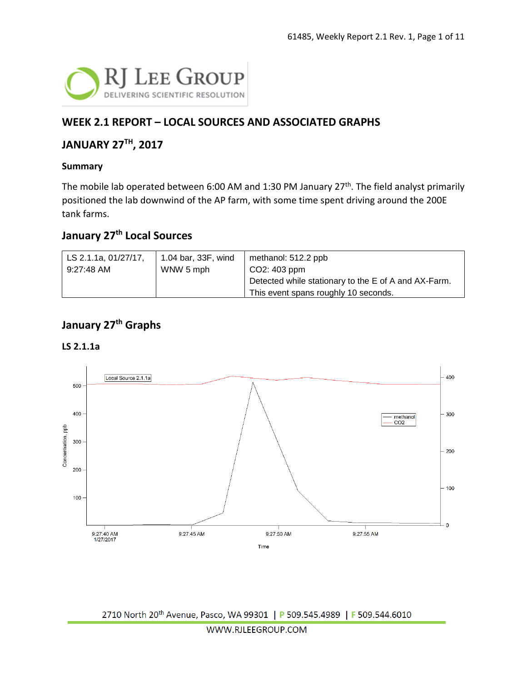

### **WEEK 2.1 REPORT – LOCAL SOURCES AND ASSOCIATED GRAPHS**

#### **JANUARY 27TH, 2017**

#### **Summary**

The mobile lab operated between 6:00 AM and 1:30 PM January 27<sup>th</sup>. The field analyst primarily positioned the lab downwind of the AP farm, with some time spent driving around the 200E tank farms.

#### **January 27th Local Sources**

| LS 2.1.1a, 01/27/17, | 1.04 bar, 33F, wind | methanol: 512.2 ppb                                  |
|----------------------|---------------------|------------------------------------------------------|
| 9:27:48 AM           | WNW 5 mph           | $CO2: 403$ ppm                                       |
|                      |                     | Detected while stationary to the E of A and AX-Farm. |
|                      |                     | This event spans roughly 10 seconds.                 |

### **January 27th Graphs**

#### **LS 2.1.1a**

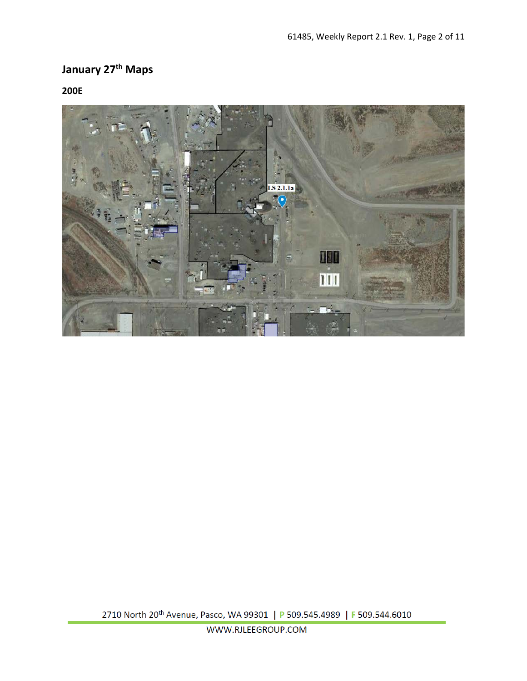# **January 27th Maps**

**200E**

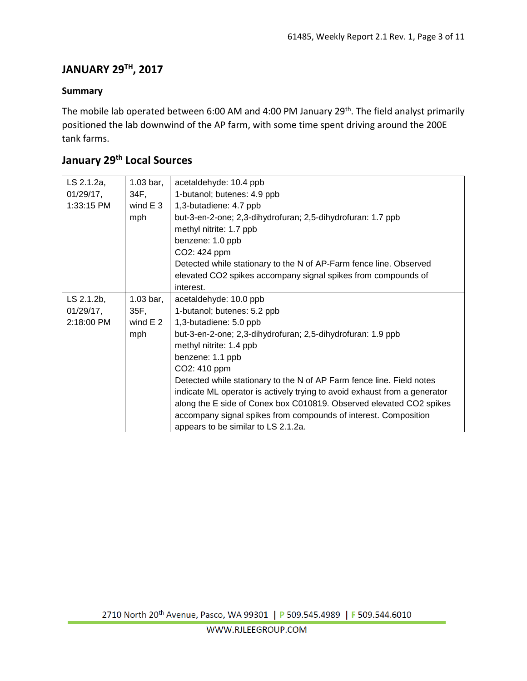## **JANUARY 29TH, 2017**

#### **Summary**

The mobile lab operated between 6:00 AM and 4:00 PM January 29<sup>th</sup>. The field analyst primarily positioned the lab downwind of the AP farm, with some time spent driving around the 200E tank farms.

## **January 29th Local Sources**

| LS 2.1.2a,   | $1.03$ bar, | acetaldehyde: 10.4 ppb                                                    |
|--------------|-------------|---------------------------------------------------------------------------|
| $01/29/17$ , | 34F,        | 1-butanol; butenes: 4.9 ppb                                               |
| 1:33:15 PM   | wind $E_3$  | 1,3-butadiene: 4.7 ppb                                                    |
|              | mph         | but-3-en-2-one; 2,3-dihydrofuran; 2,5-dihydrofuran: 1.7 ppb               |
|              |             | methyl nitrite: 1.7 ppb                                                   |
|              |             | benzene: 1.0 ppb                                                          |
|              |             | CO2: 424 ppm                                                              |
|              |             | Detected while stationary to the N of AP-Farm fence line. Observed        |
|              |             | elevated CO2 spikes accompany signal spikes from compounds of             |
|              |             | interest.                                                                 |
| LS 2.1.2b,   | $1.03$ bar, | acetaldehyde: 10.0 ppb                                                    |
| $01/29/17$ , | 35F,        | 1-butanol; butenes: 5.2 ppb                                               |
| 2:18:00 PM   | wind $E2$   | 1,3-butadiene: 5.0 ppb                                                    |
|              | mph         | but-3-en-2-one; 2,3-dihydrofuran; 2,5-dihydrofuran: 1.9 ppb               |
|              |             | methyl nitrite: 1.4 ppb                                                   |
|              |             | benzene: 1.1 ppb                                                          |
|              |             | CO2: 410 ppm                                                              |
|              |             | Detected while stationary to the N of AP Farm fence line. Field notes     |
|              |             | indicate ML operator is actively trying to avoid exhaust from a generator |
|              |             | along the E side of Conex box C010819. Observed elevated CO2 spikes       |
|              |             | accompany signal spikes from compounds of interest. Composition           |
|              |             | appears to be similar to LS 2.1.2a.                                       |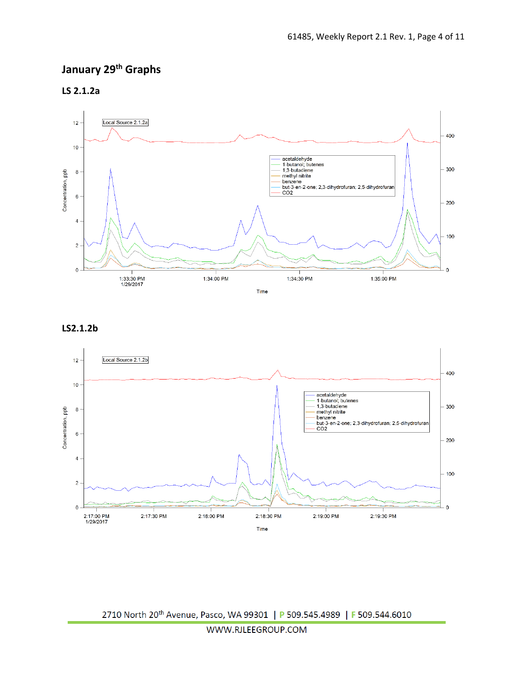## **January 29th Graphs**

**LS 2.1.2a**



#### **LS2.1.2b**

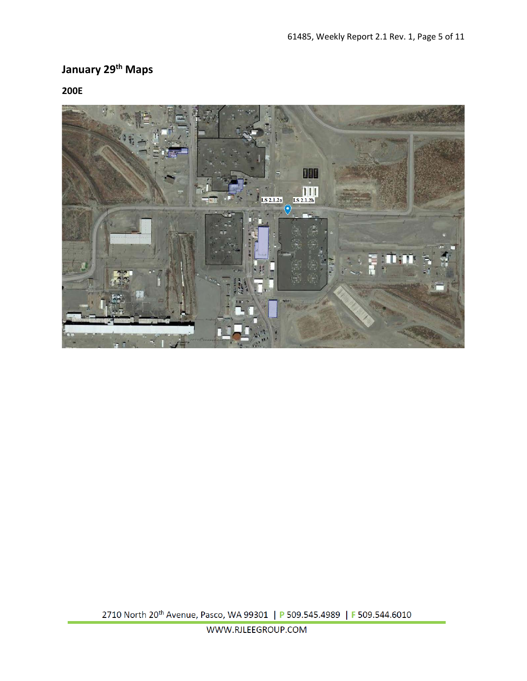# **January 29th Maps**

**200E**

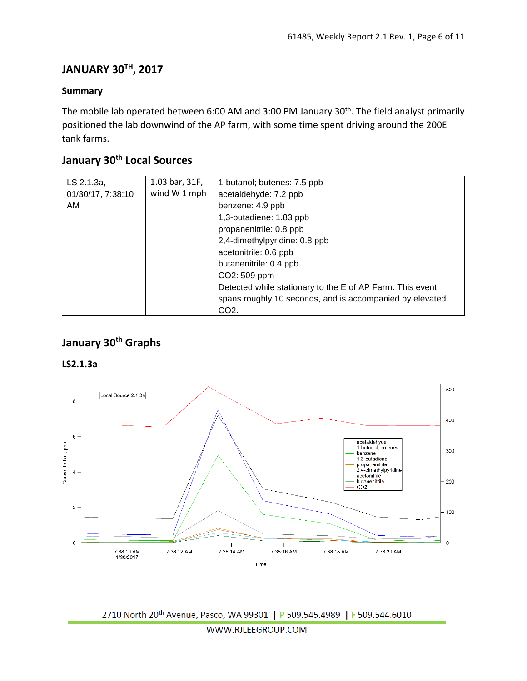### **JANUARY 30TH, 2017**

#### **Summary**

The mobile lab operated between 6:00 AM and 3:00 PM January 30th. The field analyst primarily positioned the lab downwind of the AP farm, with some time spent driving around the 200E tank farms.

### **January 30th Local Sources**

| LS 2.1.3a,        | 1.03 bar, 31F, | 1-butanol; butenes: 7.5 ppb                               |
|-------------------|----------------|-----------------------------------------------------------|
| 01/30/17, 7:38:10 | wind W 1 mph   | acetaldehyde: 7.2 ppb                                     |
| AM                |                | benzene: 4.9 ppb                                          |
|                   |                | 1,3-butadiene: 1.83 ppb                                   |
|                   |                | propanenitrile: 0.8 ppb                                   |
|                   |                | 2,4-dimethylpyridine: 0.8 ppb                             |
|                   |                | acetonitrile: 0.6 ppb                                     |
|                   |                | butanenitrile: 0.4 ppb                                    |
|                   |                | CO2: 509 ppm                                              |
|                   |                | Detected while stationary to the E of AP Farm. This event |
|                   |                | spans roughly 10 seconds, and is accompanied by elevated  |
|                   |                | CO <sub>2</sub> .                                         |

### **January 30th Graphs**

#### **LS2.1.3a**

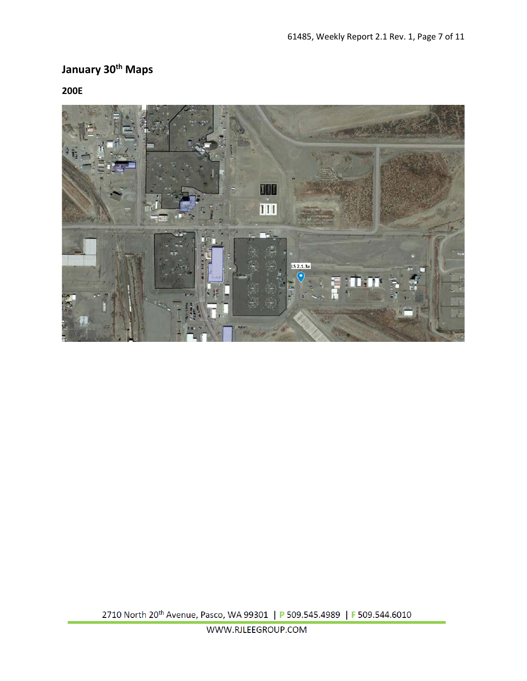## **January 30th Maps**

**200E**

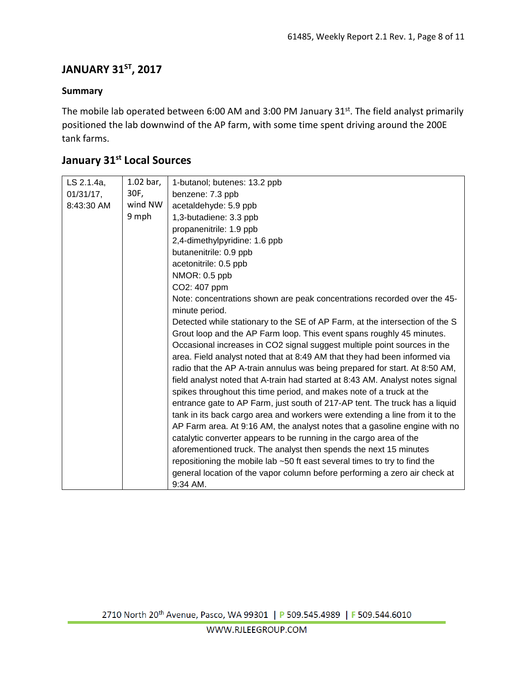## **JANUARY 31ST, 2017**

#### **Summary**

The mobile lab operated between 6:00 AM and 3:00 PM January 31st. The field analyst primarily positioned the lab downwind of the AP farm, with some time spent driving around the 200E tank farms.

## **January 31st Local Sources**

| LS 2.1.4a,   | $1.02$ bar, | 1-butanol; butenes: 13.2 ppb                                                    |
|--------------|-------------|---------------------------------------------------------------------------------|
| $01/31/17$ , | 30F,        | benzene: 7.3 ppb                                                                |
| 8:43:30 AM   | wind NW     | acetaldehyde: 5.9 ppb                                                           |
|              | 9 mph       | 1,3-butadiene: 3.3 ppb                                                          |
|              |             | propanenitrile: 1.9 ppb                                                         |
|              |             | 2,4-dimethylpyridine: 1.6 ppb                                                   |
|              |             | butanenitrile: 0.9 ppb                                                          |
|              |             | acetonitrile: 0.5 ppb                                                           |
|              |             | NMOR: 0.5 ppb                                                                   |
|              |             | CO2: 407 ppm                                                                    |
|              |             | Note: concentrations shown are peak concentrations recorded over the 45-        |
|              |             | minute period.                                                                  |
|              |             | Detected while stationary to the SE of AP Farm, at the intersection of the S    |
|              |             | Grout loop and the AP Farm loop. This event spans roughly 45 minutes.           |
|              |             | Occasional increases in CO2 signal suggest multiple point sources in the        |
|              |             | area. Field analyst noted that at 8:49 AM that they had been informed via       |
|              |             | radio that the AP A-train annulus was being prepared for start. At 8:50 AM,     |
|              |             | field analyst noted that A-train had started at 8:43 AM. Analyst notes signal   |
|              |             | spikes throughout this time period, and makes note of a truck at the            |
|              |             | entrance gate to AP Farm, just south of 217-AP tent. The truck has a liquid     |
|              |             | tank in its back cargo area and workers were extending a line from it to the    |
|              |             | AP Farm area. At 9:16 AM, the analyst notes that a gasoline engine with no      |
|              |             | catalytic converter appears to be running in the cargo area of the              |
|              |             | aforementioned truck. The analyst then spends the next 15 minutes               |
|              |             | repositioning the mobile lab $\sim$ 50 ft east several times to try to find the |
|              |             | general location of the vapor column before performing a zero air check at      |
|              |             | 9:34 AM.                                                                        |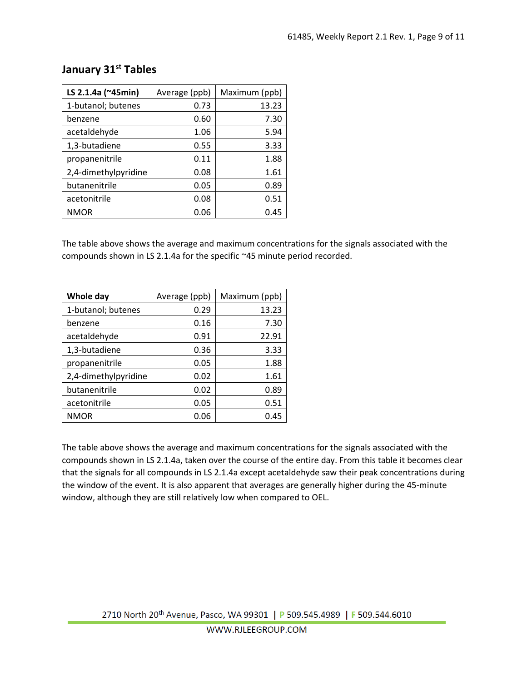| LS 2.1.4a (~45min)   | Average (ppb) | Maximum (ppb) |
|----------------------|---------------|---------------|
| 1-butanol; butenes   | 0.73          | 13.23         |
| benzene              | 0.60          | 7.30          |
| acetaldehyde         | 1.06          | 5.94          |
| 1,3-butadiene        | 0.55          | 3.33          |
| propanenitrile       | 0.11          | 1.88          |
| 2,4-dimethylpyridine | 0.08          | 1.61          |
| butanenitrile        | 0.05          | 0.89          |
| acetonitrile         | 0.08          | 0.51          |
| <b>NMOR</b>          | 0.06          | 0.45          |

### **January 31st Tables**

The table above shows the average and maximum concentrations for the signals associated with the compounds shown in LS 2.1.4a for the specific ~45 minute period recorded.

| Whole day            | Average (ppb) | Maximum (ppb) |
|----------------------|---------------|---------------|
| 1-butanol; butenes   | 0.29          | 13.23         |
| benzene              | 0.16          | 7.30          |
| acetaldehyde         | 0.91          | 22.91         |
| 1,3-butadiene        | 0.36          | 3.33          |
| propanenitrile       | 0.05          | 1.88          |
| 2,4-dimethylpyridine | 0.02          | 1.61          |
| butanenitrile        | 0.02          | 0.89          |
| acetonitrile         | 0.05          | 0.51          |
| <b>NMOR</b>          | 0.06          | 0.45          |

The table above shows the average and maximum concentrations for the signals associated with the compounds shown in LS 2.1.4a, taken over the course of the entire day. From this table it becomes clear that the signals for all compounds in LS 2.1.4a except acetaldehyde saw their peak concentrations during the window of the event. It is also apparent that averages are generally higher during the 45-minute window, although they are still relatively low when compared to OEL.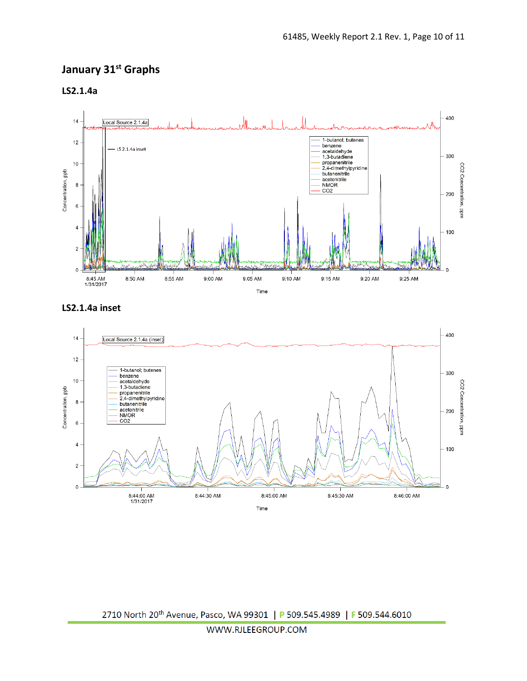## **January 31st Graphs**

**LS2.1.4a**



**LS2.1.4a inset**